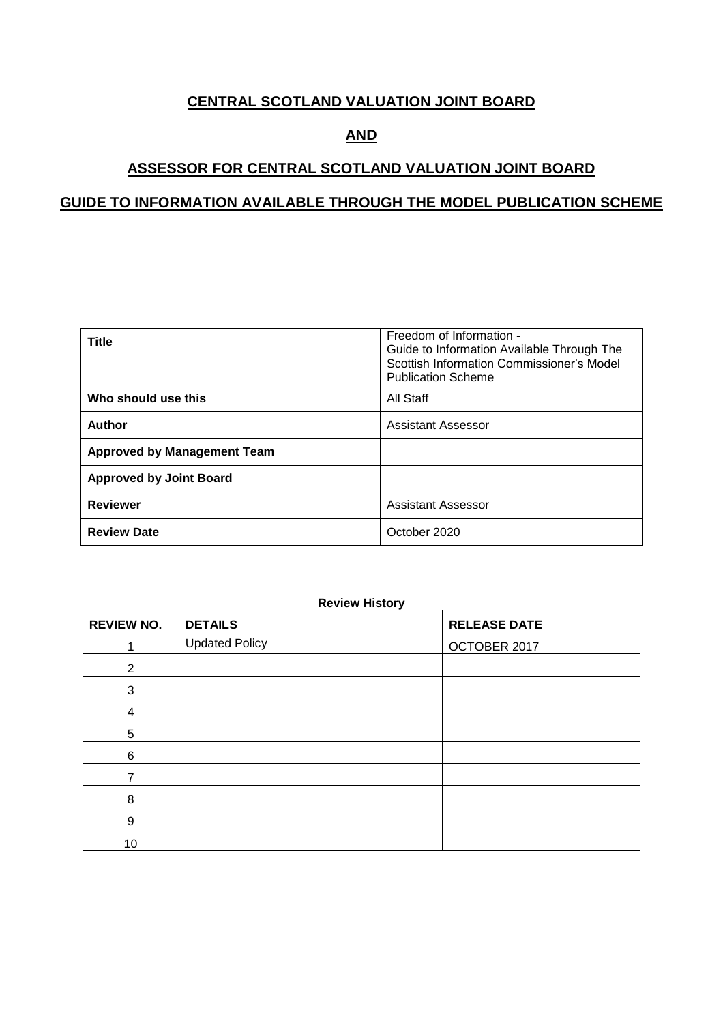### **CENTRAL SCOTLAND VALUATION JOINT BOARD**

## **AND**

### **ASSESSOR FOR CENTRAL SCOTLAND VALUATION JOINT BOARD**

### **GUIDE TO INFORMATION AVAILABLE THROUGH THE MODEL PUBLICATION SCHEME**

| <b>Title</b>                       | Freedom of Information -<br>Guide to Information Available Through The<br>Scottish Information Commissioner's Model<br><b>Publication Scheme</b> |
|------------------------------------|--------------------------------------------------------------------------------------------------------------------------------------------------|
| Who should use this                | All Staff                                                                                                                                        |
| Author                             | Assistant Assessor                                                                                                                               |
| <b>Approved by Management Team</b> |                                                                                                                                                  |
| <b>Approved by Joint Board</b>     |                                                                                                                                                  |
| <b>Reviewer</b>                    | <b>Assistant Assessor</b>                                                                                                                        |
| <b>Review Date</b>                 | October 2020                                                                                                                                     |

#### **Review History**

| <b>REVIEW NO.</b> | <b>DETAILS</b>        | <b>RELEASE DATE</b> |
|-------------------|-----------------------|---------------------|
|                   | <b>Updated Policy</b> | OCTOBER 2017        |
| $\overline{2}$    |                       |                     |
| 3                 |                       |                     |
| 4                 |                       |                     |
| 5                 |                       |                     |
| 6                 |                       |                     |
| 7                 |                       |                     |
| 8                 |                       |                     |
| 9                 |                       |                     |
| 10                |                       |                     |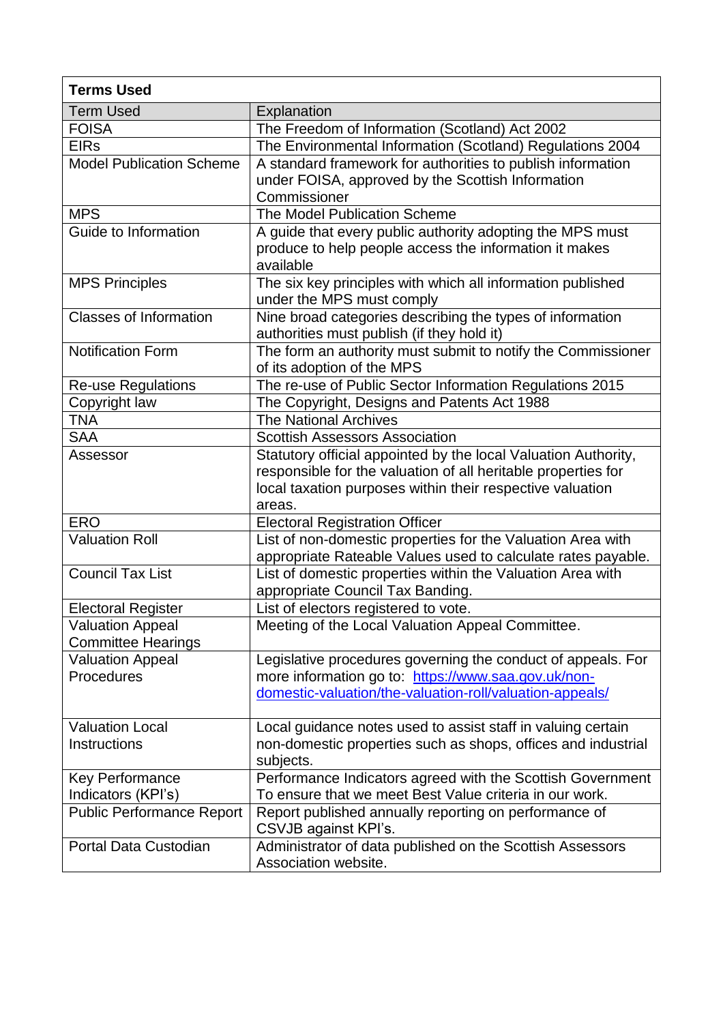| <b>Terms Used</b>                                    |                                                                                                                                                                                                        |
|------------------------------------------------------|--------------------------------------------------------------------------------------------------------------------------------------------------------------------------------------------------------|
| <b>Term Used</b>                                     | Explanation                                                                                                                                                                                            |
| <b>FOISA</b>                                         | The Freedom of Information (Scotland) Act 2002                                                                                                                                                         |
| <b>EIRs</b>                                          | The Environmental Information (Scotland) Regulations 2004                                                                                                                                              |
| <b>Model Publication Scheme</b>                      | A standard framework for authorities to publish information<br>under FOISA, approved by the Scottish Information                                                                                       |
|                                                      | Commissioner                                                                                                                                                                                           |
| <b>MPS</b>                                           | The Model Publication Scheme                                                                                                                                                                           |
| Guide to Information                                 | A guide that every public authority adopting the MPS must<br>produce to help people access the information it makes<br>available                                                                       |
| <b>MPS Principles</b>                                | The six key principles with which all information published<br>under the MPS must comply                                                                                                               |
| <b>Classes of Information</b>                        | Nine broad categories describing the types of information<br>authorities must publish (if they hold it)                                                                                                |
| <b>Notification Form</b>                             | The form an authority must submit to notify the Commissioner<br>of its adoption of the MPS                                                                                                             |
| <b>Re-use Regulations</b>                            | The re-use of Public Sector Information Regulations 2015                                                                                                                                               |
| Copyright law                                        | The Copyright, Designs and Patents Act 1988                                                                                                                                                            |
| <b>TNA</b>                                           | <b>The National Archives</b>                                                                                                                                                                           |
| <b>SAA</b>                                           | <b>Scottish Assessors Association</b>                                                                                                                                                                  |
| Assessor                                             | Statutory official appointed by the local Valuation Authority,<br>responsible for the valuation of all heritable properties for<br>local taxation purposes within their respective valuation<br>areas. |
| <b>ERO</b>                                           | <b>Electoral Registration Officer</b>                                                                                                                                                                  |
| <b>Valuation Roll</b>                                | List of non-domestic properties for the Valuation Area with<br>appropriate Rateable Values used to calculate rates payable.                                                                            |
| <b>Council Tax List</b>                              | List of domestic properties within the Valuation Area with<br>appropriate Council Tax Banding.                                                                                                         |
| <b>Electoral Register</b>                            | List of electors registered to vote.                                                                                                                                                                   |
| <b>Valuation Appeal</b><br><b>Committee Hearings</b> | Meeting of the Local Valuation Appeal Committee.                                                                                                                                                       |
| <b>Valuation Appeal</b><br>Procedures                | Legislative procedures governing the conduct of appeals. For<br>more information go to: https://www.saa.gov.uk/non-<br>domestic-valuation/the-valuation-roll/valuation-appeals/                        |
| <b>Valuation Local</b><br><b>Instructions</b>        | Local guidance notes used to assist staff in valuing certain<br>non-domestic properties such as shops, offices and industrial<br>subjects.                                                             |
| <b>Key Performance</b><br>Indicators (KPI's)         | Performance Indicators agreed with the Scottish Government<br>To ensure that we meet Best Value criteria in our work.                                                                                  |
| <b>Public Performance Report</b>                     | Report published annually reporting on performance of<br>CSVJB against KPI's.                                                                                                                          |
| Portal Data Custodian                                | Administrator of data published on the Scottish Assessors<br>Association website.                                                                                                                      |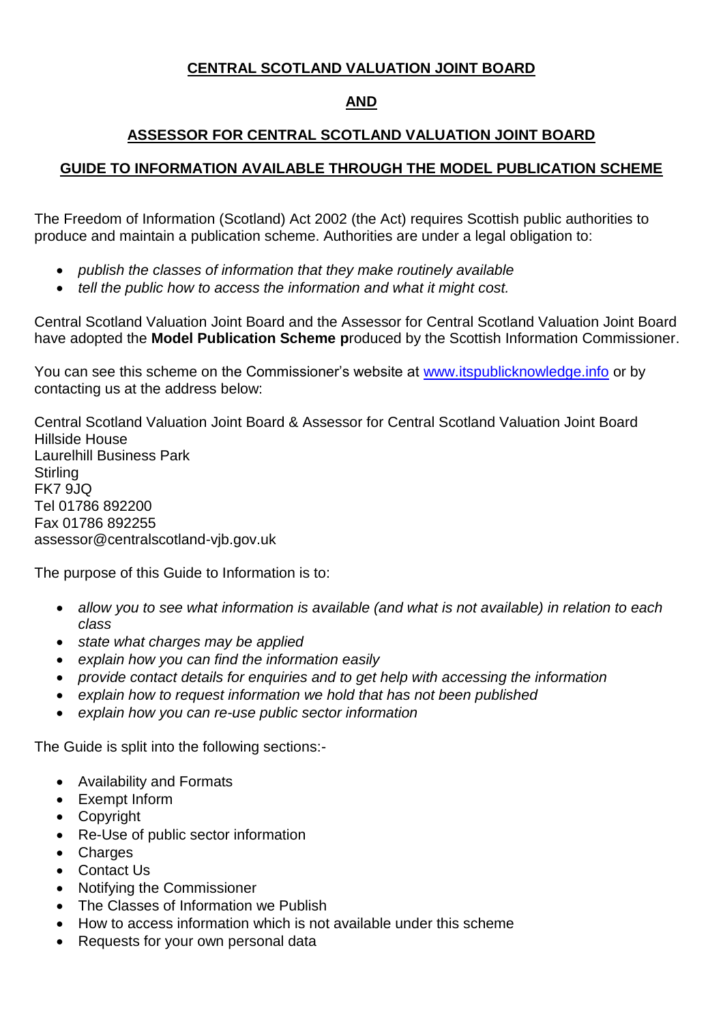## **CENTRAL SCOTLAND VALUATION JOINT BOARD**

## **AND**

# **ASSESSOR FOR CENTRAL SCOTLAND VALUATION JOINT BOARD**

### **GUIDE TO INFORMATION AVAILABLE THROUGH THE MODEL PUBLICATION SCHEME**

The Freedom of Information (Scotland) Act 2002 (the Act) requires Scottish public authorities to produce and maintain a publication scheme. Authorities are under a legal obligation to:

- *publish the classes of information that they make routinely available*
- *tell the public how to access the information and what it might cost.*

Central Scotland Valuation Joint Board and the Assessor for Central Scotland Valuation Joint Board have adopted the **Model Publication Scheme p**roduced by the Scottish Information Commissioner.

You can see this scheme on the Commissioner's website at [www.itspublicknowledge.info](http://www.itspublicknowledge.info/) or by contacting us at the address below:

Central Scotland Valuation Joint Board & Assessor for Central Scotland Valuation Joint Board Hillside House Laurelhill Business Park **Stirling** FK7 9JQ Tel 01786 892200 Fax 01786 892255 assessor@centralscotland-vjb.gov.uk

The purpose of this Guide to Information is to:

- *allow you to see what information is available (and what is not available) in relation to each class*
- *state what charges may be applied*
- *explain how you can find the information easily*
- *provide contact details for enquiries and to get help with accessing the information*
- *explain how to request information we hold that has not been published*
- *explain how you can re-use public sector information*

The Guide is split into the following sections:-

- Availability and Formats
- Exempt Inform
- Copyright
- Re-Use of public sector information
- Charges
- Contact Us
- Notifying the Commissioner
- The Classes of Information we Publish
- How to access information which is not available under this scheme
- Requests for your own personal data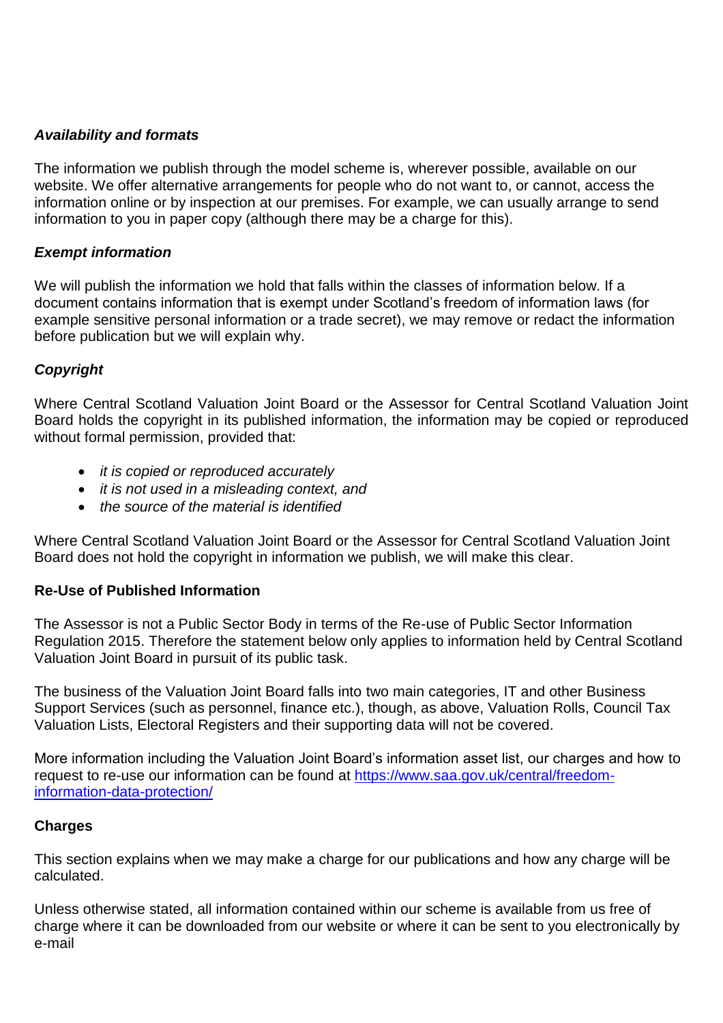### *Availability and formats*

The information we publish through the model scheme is, wherever possible, available on our website. We offer alternative arrangements for people who do not want to, or cannot, access the information online or by inspection at our premises. For example, we can usually arrange to send information to you in paper copy (although there may be a charge for this).

### *Exempt information*

We will publish the information we hold that falls within the classes of information below. If a document contains information that is exempt under Scotland's freedom of information laws (for example sensitive personal information or a trade secret), we may remove or redact the information before publication but we will explain why.

### *Copyright*

Where Central Scotland Valuation Joint Board or the Assessor for Central Scotland Valuation Joint Board holds the copyright in its published information, the information may be copied or reproduced without formal permission, provided that:

- *it is copied or reproduced accurately*
- *it is not used in a misleading context, and*
- *the source of the material is identified*

Where Central Scotland Valuation Joint Board or the Assessor for Central Scotland Valuation Joint Board does not hold the copyright in information we publish, we will make this clear.

### **Re-Use of Published Information**

The Assessor is not a Public Sector Body in terms of the Re-use of Public Sector Information Regulation 2015. Therefore the statement below only applies to information held by Central Scotland Valuation Joint Board in pursuit of its public task.

The business of the Valuation Joint Board falls into two main categories, IT and other Business Support Services (such as personnel, finance etc.), though, as above, Valuation Rolls, Council Tax Valuation Lists, Electoral Registers and their supporting data will not be covered.

More information including the Valuation Joint Board's information asset list, our charges and how to request to re-use our information can be found at [https://www.saa.gov.uk/central/freedom](https://www.saa.gov.uk/central/freedom-information-data-protection/)[information-data-protection/](https://www.saa.gov.uk/central/freedom-information-data-protection/)

### **Charges**

This section explains when we may make a charge for our publications and how any charge will be calculated.

Unless otherwise stated, all information contained within our scheme is available from us free of charge where it can be downloaded from our website or where it can be sent to you electronically by e-mail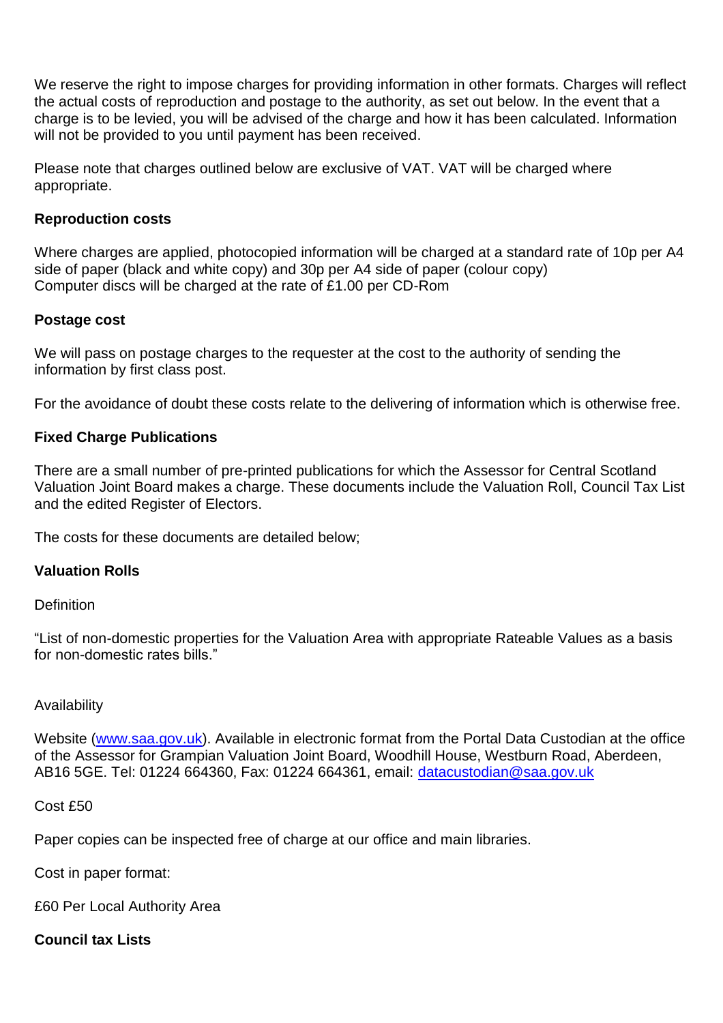We reserve the right to impose charges for providing information in other formats. Charges will reflect the actual costs of reproduction and postage to the authority, as set out below. In the event that a charge is to be levied, you will be advised of the charge and how it has been calculated. Information will not be provided to you until payment has been received.

Please note that charges outlined below are exclusive of VAT. VAT will be charged where appropriate.

### **Reproduction costs**

Where charges are applied, photocopied information will be charged at a standard rate of 10p per A4 side of paper (black and white copy) and 30p per A4 side of paper (colour copy) Computer discs will be charged at the rate of £1.00 per CD-Rom

### **Postage cost**

We will pass on postage charges to the requester at the cost to the authority of sending the information by first class post.

For the avoidance of doubt these costs relate to the delivering of information which is otherwise free.

### **Fixed Charge Publications**

There are a small number of pre-printed publications for which the Assessor for Central Scotland Valuation Joint Board makes a charge. These documents include the Valuation Roll, Council Tax List and the edited Register of Electors.

The costs for these documents are detailed below;

### **Valuation Rolls**

**Definition** 

"List of non-domestic properties for the Valuation Area with appropriate Rateable Values as a basis for non-domestic rates bills."

#### Availability

Website [\(www.saa.gov.uk\)](http://www.saa.gov.uk/). Available in electronic format from the Portal Data Custodian at the office of the Assessor for Grampian Valuation Joint Board, Woodhill House, Westburn Road, Aberdeen, AB16 5GE. Tel: 01224 664360, Fax: 01224 664361, email: [datacustodian@saa.gov.uk](mailto:datacustodian@saa.gov.uk)

#### Cost £50

Paper copies can be inspected free of charge at our office and main libraries.

Cost in paper format:

£60 Per Local Authority Area

### **Council tax Lists**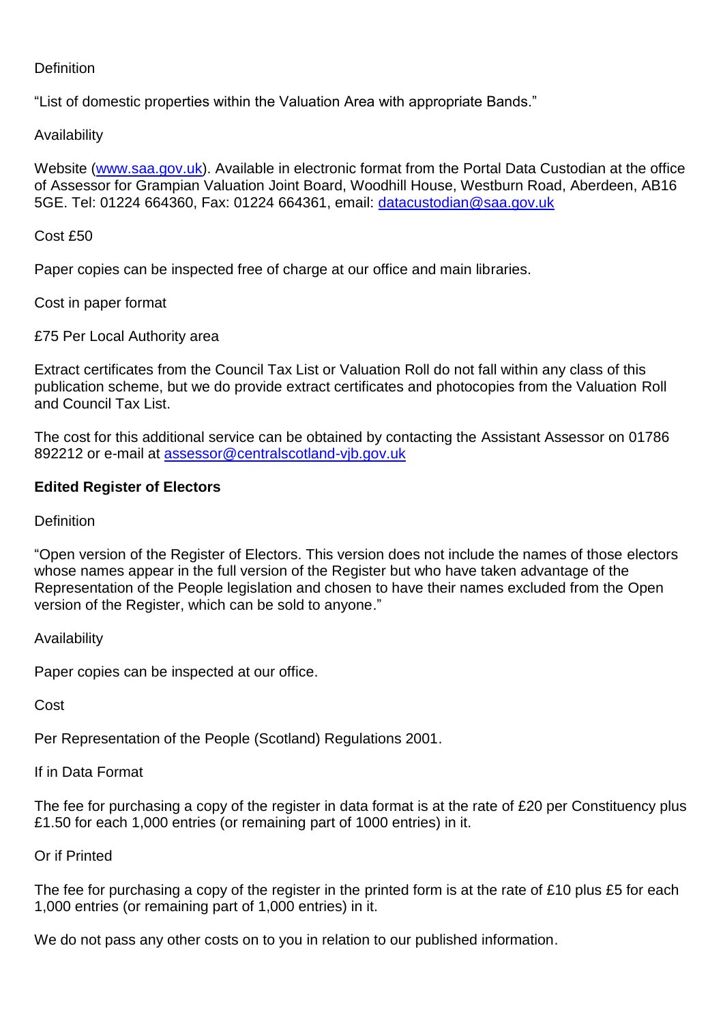### **Definition**

"List of domestic properties within the Valuation Area with appropriate Bands."

### Availability

Website [\(www.saa.gov.uk\)](http://www.saa.gov.uk/). Available in electronic format from the Portal Data Custodian at the office of Assessor for Grampian Valuation Joint Board, Woodhill House, Westburn Road, Aberdeen, AB16 5GE. Tel: 01224 664360, Fax: 01224 664361, email: [datacustodian@saa.gov.uk](mailto:datacustodian@saa.gov.uk)

#### Cost £50

Paper copies can be inspected free of charge at our office and main libraries.

Cost in paper format

£75 Per Local Authority area

Extract certificates from the Council Tax List or Valuation Roll do not fall within any class of this publication scheme, but we do provide extract certificates and photocopies from the Valuation Roll and Council Tax List.

The cost for this additional service can be obtained by contacting the Assistant Assessor on 01786 892212 or e-mail at [assessor@centralscotland-vjb.gov.uk](mailto:assessor@centralscotland-vjb.gov.uk)

#### **Edited Register of Electors**

#### **Definition**

"Open version of the Register of Electors. This version does not include the names of those electors whose names appear in the full version of the Register but who have taken advantage of the Representation of the People legislation and chosen to have their names excluded from the Open version of the Register, which can be sold to anyone."

Availability

Paper copies can be inspected at our office.

Cost

Per Representation of the People (Scotland) Regulations 2001.

If in Data Format

The fee for purchasing a copy of the register in data format is at the rate of £20 per Constituency plus £1.50 for each 1,000 entries (or remaining part of 1000 entries) in it.

### Or if Printed

The fee for purchasing a copy of the register in the printed form is at the rate of £10 plus £5 for each 1,000 entries (or remaining part of 1,000 entries) in it.

We do not pass any other costs on to you in relation to our published information.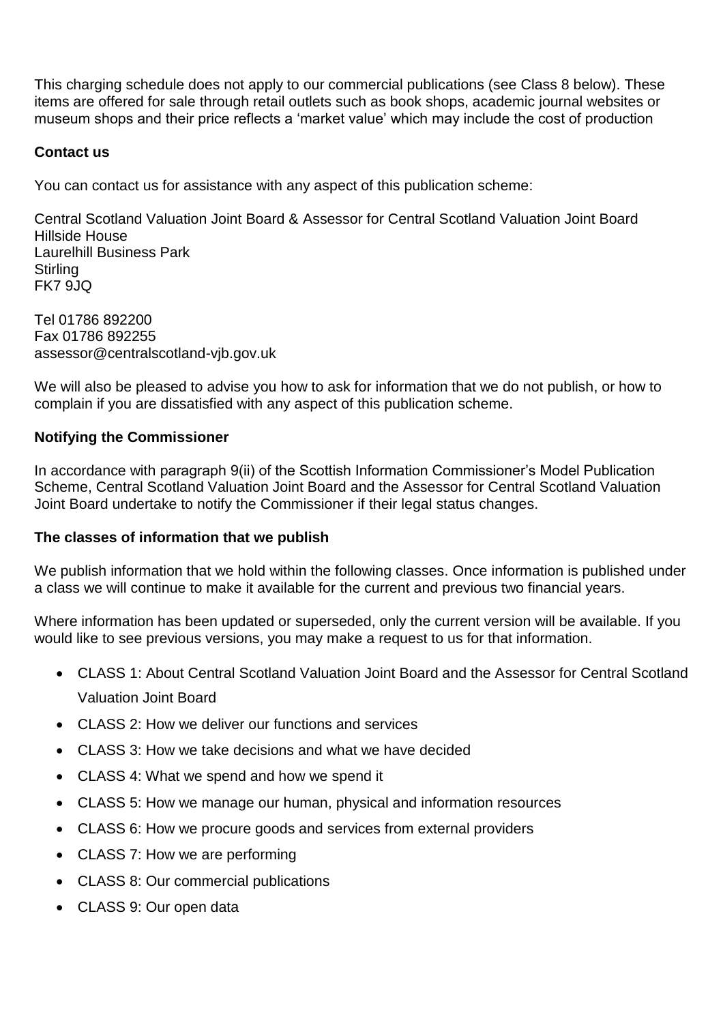This charging schedule does not apply to our commercial publications (see Class 8 below). These items are offered for sale through retail outlets such as book shops, academic journal websites or museum shops and their price reflects a 'market value' which may include the cost of production

### **Contact us**

You can contact us for assistance with any aspect of this publication scheme:

Central Scotland Valuation Joint Board & Assessor for Central Scotland Valuation Joint Board Hillside House Laurelhill Business Park **Stirling** FK7 9JQ

Tel 01786 892200 Fax 01786 892255 assessor@centralscotland-vjb.gov.uk

We will also be pleased to advise you how to ask for information that we do not publish, or how to complain if you are dissatisfied with any aspect of this publication scheme.

### **Notifying the Commissioner**

In accordance with paragraph 9(ii) of the Scottish Information Commissioner's Model Publication Scheme, Central Scotland Valuation Joint Board and the Assessor for Central Scotland Valuation Joint Board undertake to notify the Commissioner if their legal status changes.

#### **The classes of information that we publish**

We publish information that we hold within the following classes. Once information is published under a class we will continue to make it available for the current and previous two financial years.

Where information has been updated or superseded, only the current version will be available. If you would like to see previous versions, you may make a request to us for that information.

- CLASS 1: About Central Scotland Valuation Joint Board and the Assessor for Central Scotland Valuation Joint Board
- CLASS 2: How we deliver our functions and services
- CLASS 3: How we take decisions and what we have decided
- CLASS 4: What we spend and how we spend it
- CLASS 5: How we manage our human, physical and information resources
- CLASS 6: How we procure goods and services from external providers
- CLASS 7: How we are performing
- CLASS 8: Our commercial publications
- CLASS 9: Our open data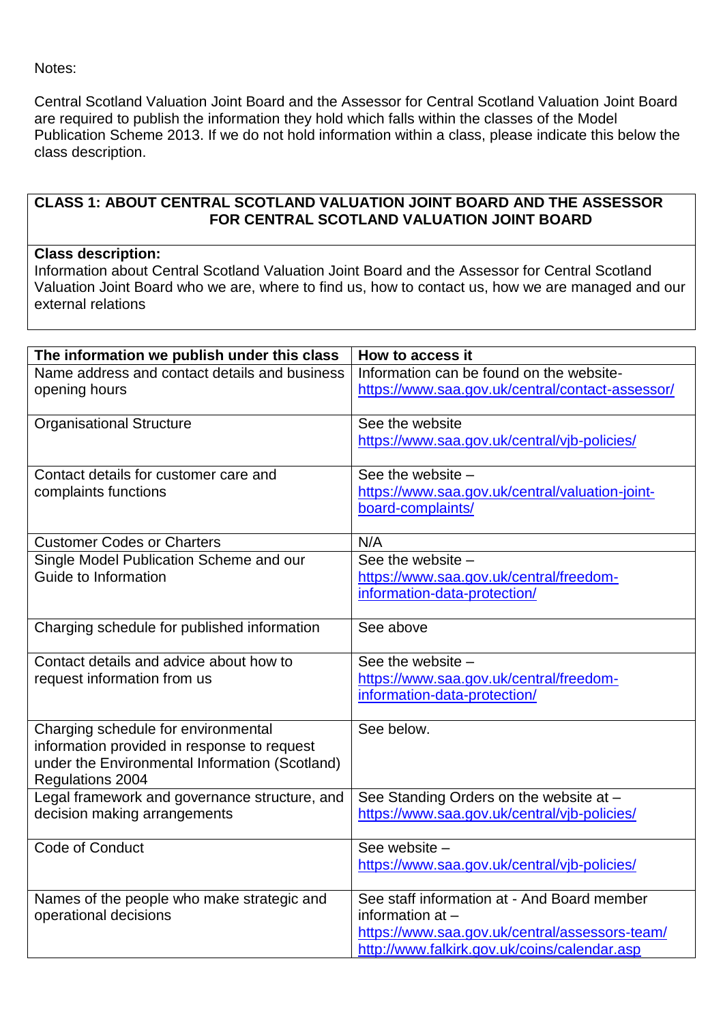Notes:

Central Scotland Valuation Joint Board and the Assessor for Central Scotland Valuation Joint Board are required to publish the information they hold which falls within the classes of the Model Publication Scheme 2013. If we do not hold information within a class, please indicate this below the class description.

### **CLASS 1: ABOUT CENTRAL SCOTLAND VALUATION JOINT BOARD AND THE ASSESSOR FOR CENTRAL SCOTLAND VALUATION JOINT BOARD**

### **Class description:**

Information about Central Scotland Valuation Joint Board and the Assessor for Central Scotland Valuation Joint Board who we are, where to find us, how to contact us, how we are managed and our external relations

| The information we publish under this class                                                                                                              | How to access it                                                                                                                                                    |
|----------------------------------------------------------------------------------------------------------------------------------------------------------|---------------------------------------------------------------------------------------------------------------------------------------------------------------------|
| Name address and contact details and business<br>opening hours                                                                                           | Information can be found on the website-<br>https://www.saa.gov.uk/central/contact-assessor/                                                                        |
| Organisational Structure                                                                                                                                 | See the website<br>https://www.saa.gov.uk/central/vjb-policies/                                                                                                     |
| Contact details for customer care and<br>complaints functions                                                                                            | See the website -<br>https://www.saa.gov.uk/central/valuation-joint-<br>board-complaints/                                                                           |
| <b>Customer Codes or Charters</b>                                                                                                                        | N/A                                                                                                                                                                 |
| Single Model Publication Scheme and our<br>Guide to Information                                                                                          | See the website -<br>https://www.saa.gov.uk/central/freedom-<br>information-data-protection/                                                                        |
| Charging schedule for published information                                                                                                              | See above                                                                                                                                                           |
| Contact details and advice about how to<br>request information from us                                                                                   | See the website -<br>https://www.saa.gov.uk/central/freedom-<br>information-data-protection/                                                                        |
| Charging schedule for environmental<br>information provided in response to request<br>under the Environmental Information (Scotland)<br>Regulations 2004 | See below.                                                                                                                                                          |
| Legal framework and governance structure, and<br>decision making arrangements                                                                            | See Standing Orders on the website at -<br>https://www.saa.gov.uk/central/vjb-policies/                                                                             |
| Code of Conduct                                                                                                                                          | See website -<br>https://www.saa.gov.uk/central/vjb-policies/                                                                                                       |
| Names of the people who make strategic and<br>operational decisions                                                                                      | See staff information at - And Board member<br>information $at -$<br>https://www.saa.gov.uk/central/assessors-team/<br>http://www.falkirk.gov.uk/coins/calendar.asp |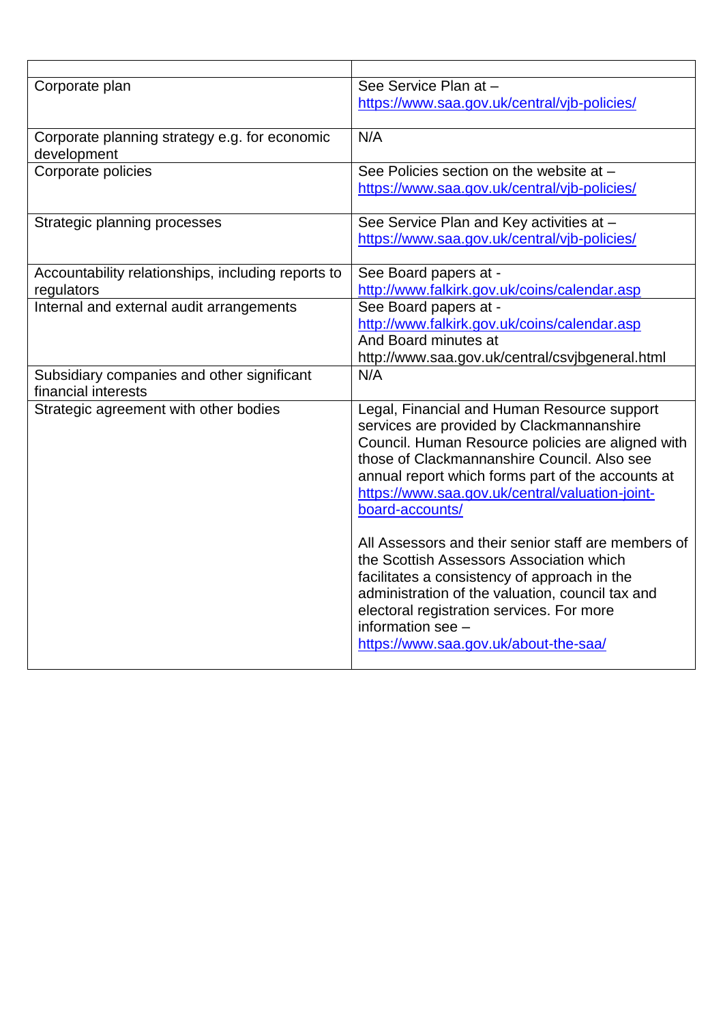| Corporate plan                                     | See Service Plan at -                               |
|----------------------------------------------------|-----------------------------------------------------|
|                                                    | https://www.saa.gov.uk/central/vjb-policies/        |
|                                                    |                                                     |
| Corporate planning strategy e.g. for economic      | N/A                                                 |
| development                                        |                                                     |
| Corporate policies                                 | See Policies section on the website at -            |
|                                                    | https://www.saa.gov.uk/central/vjb-policies/        |
|                                                    |                                                     |
| Strategic planning processes                       | See Service Plan and Key activities at -            |
|                                                    | https://www.saa.gov.uk/central/vjb-policies/        |
|                                                    |                                                     |
| Accountability relationships, including reports to | See Board papers at -                               |
| regulators                                         | http://www.falkirk.gov.uk/coins/calendar.asp        |
| Internal and external audit arrangements           | See Board papers at -                               |
|                                                    | http://www.falkirk.gov.uk/coins/calendar.asp        |
|                                                    | And Board minutes at                                |
|                                                    | http://www.saa.gov.uk/central/csvjbgeneral.html     |
| Subsidiary companies and other significant         | N/A                                                 |
| financial interests                                |                                                     |
| Strategic agreement with other bodies              | Legal, Financial and Human Resource support         |
|                                                    | services are provided by Clackmannanshire           |
|                                                    | Council. Human Resource policies are aligned with   |
|                                                    | those of Clackmannanshire Council. Also see         |
|                                                    | annual report which forms part of the accounts at   |
|                                                    | https://www.saa.gov.uk/central/valuation-joint-     |
|                                                    | board-accounts/                                     |
|                                                    |                                                     |
|                                                    | All Assessors and their senior staff are members of |
|                                                    | the Scottish Assessors Association which            |
|                                                    | facilitates a consistency of approach in the        |
|                                                    | administration of the valuation, council tax and    |
|                                                    | electoral registration services. For more           |
|                                                    | information see -                                   |
|                                                    | https://www.saa.gov.uk/about-the-saa/               |
|                                                    |                                                     |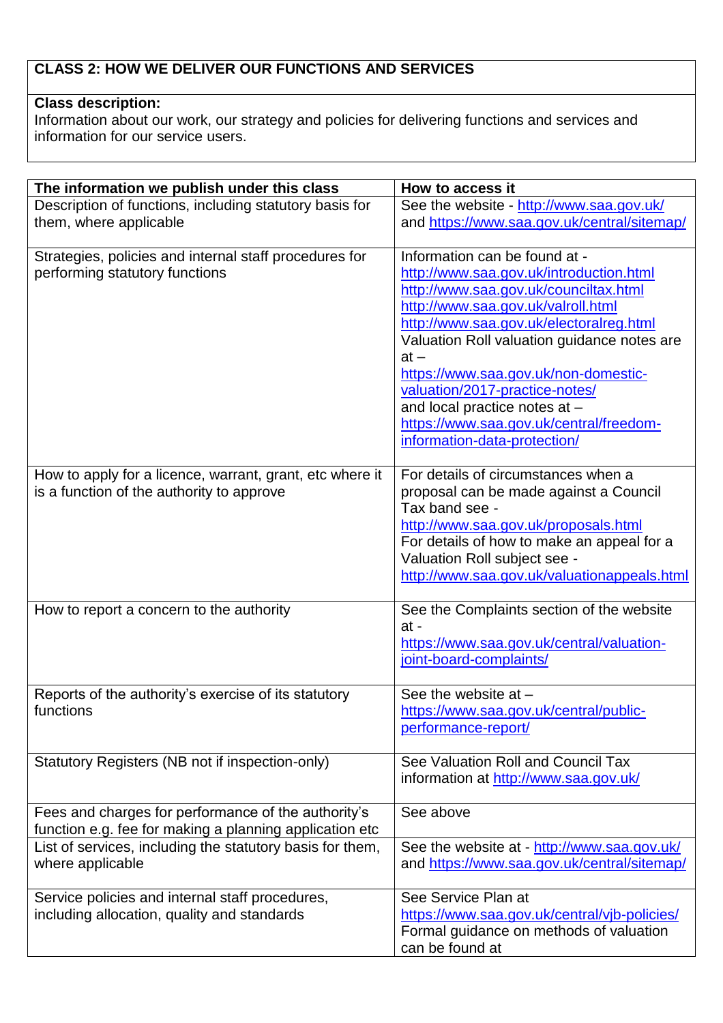# **CLASS 2: HOW WE DELIVER OUR FUNCTIONS AND SERVICES**

## **Class description:**

Information about our work, our strategy and policies for delivering functions and services and information for our service users.

| Description of functions, including statutory basis for<br>and https://www.saa.gov.uk/central/sitemap/<br>them, where applicable<br>Information can be found at -<br>Strategies, policies and internal staff procedures for<br>performing statutory functions<br>http://www.saa.gov.uk/introduction.html<br>http://www.saa.gov.uk/counciltax.html<br>http://www.saa.gov.uk/valroll.html<br>http://www.saa.gov.uk/electoralreg.html<br>Valuation Roll valuation guidance notes are<br>$at -$<br>https://www.saa.gov.uk/non-domestic-<br>valuation/2017-practice-notes/<br>and local practice notes at -<br>https://www.saa.gov.uk/central/freedom-<br>information-data-protection/<br>For details of circumstances when a<br>How to apply for a licence, warrant, grant, etc where it<br>is a function of the authority to approve<br>proposal can be made against a Council<br>Tax band see -<br>http://www.saa.gov.uk/proposals.html<br>For details of how to make an appeal for a<br>Valuation Roll subject see -<br>http://www.saa.gov.uk/valuationappeals.html<br>How to report a concern to the authority<br>See the Complaints section of the website<br>$at -$<br>https://www.saa.gov.uk/central/valuation-<br>joint-board-complaints/<br>Reports of the authority's exercise of its statutory<br>See the website at -<br>functions<br>https://www.saa.gov.uk/central/public-<br>performance-report/<br>See Valuation Roll and Council Tax<br>Statutory Registers (NB not if inspection-only)<br>information at http://www.saa.gov.uk/<br>Fees and charges for performance of the authority's<br>See above<br>function e.g. fee for making a planning application etc<br>List of services, including the statutory basis for them,<br>See the website at - http://www.saa.gov.uk/<br>and https://www.saa.gov.uk/central/sitemap/<br>where applicable<br>See Service Plan at<br>Service policies and internal staff procedures, | The information we publish under this class | How to access it                         |
|---------------------------------------------------------------------------------------------------------------------------------------------------------------------------------------------------------------------------------------------------------------------------------------------------------------------------------------------------------------------------------------------------------------------------------------------------------------------------------------------------------------------------------------------------------------------------------------------------------------------------------------------------------------------------------------------------------------------------------------------------------------------------------------------------------------------------------------------------------------------------------------------------------------------------------------------------------------------------------------------------------------------------------------------------------------------------------------------------------------------------------------------------------------------------------------------------------------------------------------------------------------------------------------------------------------------------------------------------------------------------------------------------------------------------------------------------------------------------------------------------------------------------------------------------------------------------------------------------------------------------------------------------------------------------------------------------------------------------------------------------------------------------------------------------------------------------------------------------------------------------------------------------------------------------------------|---------------------------------------------|------------------------------------------|
|                                                                                                                                                                                                                                                                                                                                                                                                                                                                                                                                                                                                                                                                                                                                                                                                                                                                                                                                                                                                                                                                                                                                                                                                                                                                                                                                                                                                                                                                                                                                                                                                                                                                                                                                                                                                                                                                                                                                       |                                             | See the website - http://www.saa.gov.uk/ |
|                                                                                                                                                                                                                                                                                                                                                                                                                                                                                                                                                                                                                                                                                                                                                                                                                                                                                                                                                                                                                                                                                                                                                                                                                                                                                                                                                                                                                                                                                                                                                                                                                                                                                                                                                                                                                                                                                                                                       |                                             |                                          |
|                                                                                                                                                                                                                                                                                                                                                                                                                                                                                                                                                                                                                                                                                                                                                                                                                                                                                                                                                                                                                                                                                                                                                                                                                                                                                                                                                                                                                                                                                                                                                                                                                                                                                                                                                                                                                                                                                                                                       |                                             |                                          |
|                                                                                                                                                                                                                                                                                                                                                                                                                                                                                                                                                                                                                                                                                                                                                                                                                                                                                                                                                                                                                                                                                                                                                                                                                                                                                                                                                                                                                                                                                                                                                                                                                                                                                                                                                                                                                                                                                                                                       |                                             |                                          |
|                                                                                                                                                                                                                                                                                                                                                                                                                                                                                                                                                                                                                                                                                                                                                                                                                                                                                                                                                                                                                                                                                                                                                                                                                                                                                                                                                                                                                                                                                                                                                                                                                                                                                                                                                                                                                                                                                                                                       |                                             |                                          |
|                                                                                                                                                                                                                                                                                                                                                                                                                                                                                                                                                                                                                                                                                                                                                                                                                                                                                                                                                                                                                                                                                                                                                                                                                                                                                                                                                                                                                                                                                                                                                                                                                                                                                                                                                                                                                                                                                                                                       |                                             |                                          |
|                                                                                                                                                                                                                                                                                                                                                                                                                                                                                                                                                                                                                                                                                                                                                                                                                                                                                                                                                                                                                                                                                                                                                                                                                                                                                                                                                                                                                                                                                                                                                                                                                                                                                                                                                                                                                                                                                                                                       |                                             |                                          |
|                                                                                                                                                                                                                                                                                                                                                                                                                                                                                                                                                                                                                                                                                                                                                                                                                                                                                                                                                                                                                                                                                                                                                                                                                                                                                                                                                                                                                                                                                                                                                                                                                                                                                                                                                                                                                                                                                                                                       |                                             |                                          |
|                                                                                                                                                                                                                                                                                                                                                                                                                                                                                                                                                                                                                                                                                                                                                                                                                                                                                                                                                                                                                                                                                                                                                                                                                                                                                                                                                                                                                                                                                                                                                                                                                                                                                                                                                                                                                                                                                                                                       |                                             |                                          |
|                                                                                                                                                                                                                                                                                                                                                                                                                                                                                                                                                                                                                                                                                                                                                                                                                                                                                                                                                                                                                                                                                                                                                                                                                                                                                                                                                                                                                                                                                                                                                                                                                                                                                                                                                                                                                                                                                                                                       |                                             |                                          |
|                                                                                                                                                                                                                                                                                                                                                                                                                                                                                                                                                                                                                                                                                                                                                                                                                                                                                                                                                                                                                                                                                                                                                                                                                                                                                                                                                                                                                                                                                                                                                                                                                                                                                                                                                                                                                                                                                                                                       |                                             |                                          |
|                                                                                                                                                                                                                                                                                                                                                                                                                                                                                                                                                                                                                                                                                                                                                                                                                                                                                                                                                                                                                                                                                                                                                                                                                                                                                                                                                                                                                                                                                                                                                                                                                                                                                                                                                                                                                                                                                                                                       |                                             |                                          |
|                                                                                                                                                                                                                                                                                                                                                                                                                                                                                                                                                                                                                                                                                                                                                                                                                                                                                                                                                                                                                                                                                                                                                                                                                                                                                                                                                                                                                                                                                                                                                                                                                                                                                                                                                                                                                                                                                                                                       |                                             |                                          |
|                                                                                                                                                                                                                                                                                                                                                                                                                                                                                                                                                                                                                                                                                                                                                                                                                                                                                                                                                                                                                                                                                                                                                                                                                                                                                                                                                                                                                                                                                                                                                                                                                                                                                                                                                                                                                                                                                                                                       |                                             |                                          |
|                                                                                                                                                                                                                                                                                                                                                                                                                                                                                                                                                                                                                                                                                                                                                                                                                                                                                                                                                                                                                                                                                                                                                                                                                                                                                                                                                                                                                                                                                                                                                                                                                                                                                                                                                                                                                                                                                                                                       |                                             |                                          |
|                                                                                                                                                                                                                                                                                                                                                                                                                                                                                                                                                                                                                                                                                                                                                                                                                                                                                                                                                                                                                                                                                                                                                                                                                                                                                                                                                                                                                                                                                                                                                                                                                                                                                                                                                                                                                                                                                                                                       |                                             |                                          |
|                                                                                                                                                                                                                                                                                                                                                                                                                                                                                                                                                                                                                                                                                                                                                                                                                                                                                                                                                                                                                                                                                                                                                                                                                                                                                                                                                                                                                                                                                                                                                                                                                                                                                                                                                                                                                                                                                                                                       |                                             |                                          |
|                                                                                                                                                                                                                                                                                                                                                                                                                                                                                                                                                                                                                                                                                                                                                                                                                                                                                                                                                                                                                                                                                                                                                                                                                                                                                                                                                                                                                                                                                                                                                                                                                                                                                                                                                                                                                                                                                                                                       |                                             |                                          |
|                                                                                                                                                                                                                                                                                                                                                                                                                                                                                                                                                                                                                                                                                                                                                                                                                                                                                                                                                                                                                                                                                                                                                                                                                                                                                                                                                                                                                                                                                                                                                                                                                                                                                                                                                                                                                                                                                                                                       |                                             |                                          |
|                                                                                                                                                                                                                                                                                                                                                                                                                                                                                                                                                                                                                                                                                                                                                                                                                                                                                                                                                                                                                                                                                                                                                                                                                                                                                                                                                                                                                                                                                                                                                                                                                                                                                                                                                                                                                                                                                                                                       |                                             |                                          |
|                                                                                                                                                                                                                                                                                                                                                                                                                                                                                                                                                                                                                                                                                                                                                                                                                                                                                                                                                                                                                                                                                                                                                                                                                                                                                                                                                                                                                                                                                                                                                                                                                                                                                                                                                                                                                                                                                                                                       |                                             |                                          |
|                                                                                                                                                                                                                                                                                                                                                                                                                                                                                                                                                                                                                                                                                                                                                                                                                                                                                                                                                                                                                                                                                                                                                                                                                                                                                                                                                                                                                                                                                                                                                                                                                                                                                                                                                                                                                                                                                                                                       |                                             |                                          |
|                                                                                                                                                                                                                                                                                                                                                                                                                                                                                                                                                                                                                                                                                                                                                                                                                                                                                                                                                                                                                                                                                                                                                                                                                                                                                                                                                                                                                                                                                                                                                                                                                                                                                                                                                                                                                                                                                                                                       |                                             |                                          |
|                                                                                                                                                                                                                                                                                                                                                                                                                                                                                                                                                                                                                                                                                                                                                                                                                                                                                                                                                                                                                                                                                                                                                                                                                                                                                                                                                                                                                                                                                                                                                                                                                                                                                                                                                                                                                                                                                                                                       |                                             |                                          |
|                                                                                                                                                                                                                                                                                                                                                                                                                                                                                                                                                                                                                                                                                                                                                                                                                                                                                                                                                                                                                                                                                                                                                                                                                                                                                                                                                                                                                                                                                                                                                                                                                                                                                                                                                                                                                                                                                                                                       |                                             |                                          |
|                                                                                                                                                                                                                                                                                                                                                                                                                                                                                                                                                                                                                                                                                                                                                                                                                                                                                                                                                                                                                                                                                                                                                                                                                                                                                                                                                                                                                                                                                                                                                                                                                                                                                                                                                                                                                                                                                                                                       |                                             |                                          |
|                                                                                                                                                                                                                                                                                                                                                                                                                                                                                                                                                                                                                                                                                                                                                                                                                                                                                                                                                                                                                                                                                                                                                                                                                                                                                                                                                                                                                                                                                                                                                                                                                                                                                                                                                                                                                                                                                                                                       |                                             |                                          |
|                                                                                                                                                                                                                                                                                                                                                                                                                                                                                                                                                                                                                                                                                                                                                                                                                                                                                                                                                                                                                                                                                                                                                                                                                                                                                                                                                                                                                                                                                                                                                                                                                                                                                                                                                                                                                                                                                                                                       |                                             |                                          |
|                                                                                                                                                                                                                                                                                                                                                                                                                                                                                                                                                                                                                                                                                                                                                                                                                                                                                                                                                                                                                                                                                                                                                                                                                                                                                                                                                                                                                                                                                                                                                                                                                                                                                                                                                                                                                                                                                                                                       |                                             |                                          |
|                                                                                                                                                                                                                                                                                                                                                                                                                                                                                                                                                                                                                                                                                                                                                                                                                                                                                                                                                                                                                                                                                                                                                                                                                                                                                                                                                                                                                                                                                                                                                                                                                                                                                                                                                                                                                                                                                                                                       |                                             |                                          |
|                                                                                                                                                                                                                                                                                                                                                                                                                                                                                                                                                                                                                                                                                                                                                                                                                                                                                                                                                                                                                                                                                                                                                                                                                                                                                                                                                                                                                                                                                                                                                                                                                                                                                                                                                                                                                                                                                                                                       |                                             |                                          |
|                                                                                                                                                                                                                                                                                                                                                                                                                                                                                                                                                                                                                                                                                                                                                                                                                                                                                                                                                                                                                                                                                                                                                                                                                                                                                                                                                                                                                                                                                                                                                                                                                                                                                                                                                                                                                                                                                                                                       |                                             |                                          |
|                                                                                                                                                                                                                                                                                                                                                                                                                                                                                                                                                                                                                                                                                                                                                                                                                                                                                                                                                                                                                                                                                                                                                                                                                                                                                                                                                                                                                                                                                                                                                                                                                                                                                                                                                                                                                                                                                                                                       |                                             |                                          |
|                                                                                                                                                                                                                                                                                                                                                                                                                                                                                                                                                                                                                                                                                                                                                                                                                                                                                                                                                                                                                                                                                                                                                                                                                                                                                                                                                                                                                                                                                                                                                                                                                                                                                                                                                                                                                                                                                                                                       |                                             |                                          |
|                                                                                                                                                                                                                                                                                                                                                                                                                                                                                                                                                                                                                                                                                                                                                                                                                                                                                                                                                                                                                                                                                                                                                                                                                                                                                                                                                                                                                                                                                                                                                                                                                                                                                                                                                                                                                                                                                                                                       |                                             |                                          |
|                                                                                                                                                                                                                                                                                                                                                                                                                                                                                                                                                                                                                                                                                                                                                                                                                                                                                                                                                                                                                                                                                                                                                                                                                                                                                                                                                                                                                                                                                                                                                                                                                                                                                                                                                                                                                                                                                                                                       |                                             |                                          |
|                                                                                                                                                                                                                                                                                                                                                                                                                                                                                                                                                                                                                                                                                                                                                                                                                                                                                                                                                                                                                                                                                                                                                                                                                                                                                                                                                                                                                                                                                                                                                                                                                                                                                                                                                                                                                                                                                                                                       |                                             |                                          |
|                                                                                                                                                                                                                                                                                                                                                                                                                                                                                                                                                                                                                                                                                                                                                                                                                                                                                                                                                                                                                                                                                                                                                                                                                                                                                                                                                                                                                                                                                                                                                                                                                                                                                                                                                                                                                                                                                                                                       |                                             |                                          |
| including allocation, quality and standards<br>https://www.saa.gov.uk/central/vjb-policies/<br>Formal guidance on methods of valuation                                                                                                                                                                                                                                                                                                                                                                                                                                                                                                                                                                                                                                                                                                                                                                                                                                                                                                                                                                                                                                                                                                                                                                                                                                                                                                                                                                                                                                                                                                                                                                                                                                                                                                                                                                                                |                                             |                                          |
| can be found at                                                                                                                                                                                                                                                                                                                                                                                                                                                                                                                                                                                                                                                                                                                                                                                                                                                                                                                                                                                                                                                                                                                                                                                                                                                                                                                                                                                                                                                                                                                                                                                                                                                                                                                                                                                                                                                                                                                       |                                             |                                          |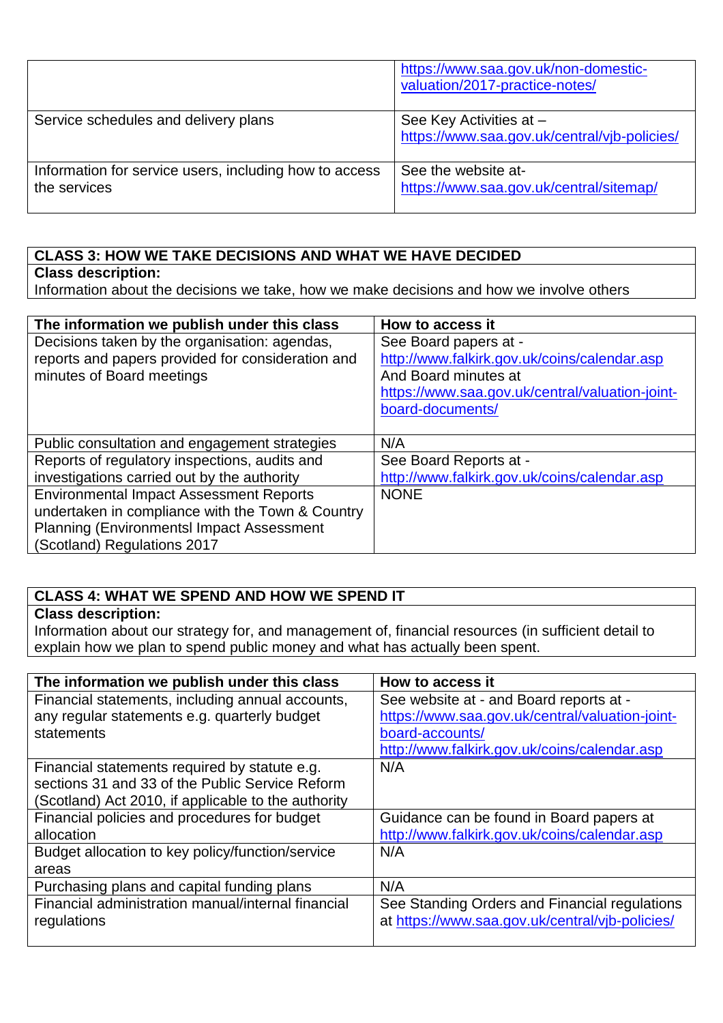|                                                                        | https://www.saa.gov.uk/non-domestic-<br>valuation/2017-practice-notes/  |
|------------------------------------------------------------------------|-------------------------------------------------------------------------|
| Service schedules and delivery plans                                   | See Key Activities at -<br>https://www.saa.gov.uk/central/vjb-policies/ |
| Information for service users, including how to access<br>the services | See the website at-<br>https://www.saa.gov.uk/central/sitemap/          |

### **CLASS 3: HOW WE TAKE DECISIONS AND WHAT WE HAVE DECIDED**

## **Class description:**

Information about the decisions we take, how we make decisions and how we involve others

| The information we publish under this class                                                                                                                                           | How to access it                                                                                                                                 |
|---------------------------------------------------------------------------------------------------------------------------------------------------------------------------------------|--------------------------------------------------------------------------------------------------------------------------------------------------|
| Decisions taken by the organisation: agendas,<br>reports and papers provided for consideration and<br>minutes of Board meetings                                                       | See Board papers at -<br>http://www.falkirk.gov.uk/coins/calendar.asp<br>And Board minutes at<br>https://www.saa.gov.uk/central/valuation-joint- |
| Public consultation and engagement strategies                                                                                                                                         | board-documents/<br>N/A                                                                                                                          |
| Reports of regulatory inspections, audits and                                                                                                                                         | See Board Reports at -                                                                                                                           |
| investigations carried out by the authority                                                                                                                                           | http://www.falkirk.gov.uk/coins/calendar.asp                                                                                                     |
| <b>Environmental Impact Assessment Reports</b><br>undertaken in compliance with the Town & Country<br><b>Planning (Environmentsl Impact Assessment</b><br>(Scotland) Regulations 2017 | <b>NONE</b>                                                                                                                                      |

# **CLASS 4: WHAT WE SPEND AND HOW WE SPEND IT**

### **Class description:**

Information about our strategy for, and management of, financial resources (in sufficient detail to explain how we plan to spend public money and what has actually been spent.

| The information we publish under this class         | How to access it                                |
|-----------------------------------------------------|-------------------------------------------------|
| Financial statements, including annual accounts,    | See website at - and Board reports at -         |
| any regular statements e.g. quarterly budget        | https://www.saa.gov.uk/central/valuation-joint- |
| statements                                          | board-accounts/                                 |
|                                                     | http://www.falkirk.gov.uk/coins/calendar.asp    |
| Financial statements required by statute e.g.       | N/A                                             |
| sections 31 and 33 of the Public Service Reform     |                                                 |
| (Scotland) Act 2010, if applicable to the authority |                                                 |
| Financial policies and procedures for budget        | Guidance can be found in Board papers at        |
| allocation                                          | http://www.falkirk.gov.uk/coins/calendar.asp    |
| Budget allocation to key policy/function/service    | N/A                                             |
| areas                                               |                                                 |
| Purchasing plans and capital funding plans          | N/A                                             |
| Financial administration manual/internal financial  | See Standing Orders and Financial regulations   |
| regulations                                         | at https://www.saa.gov.uk/central/vjb-policies/ |
|                                                     |                                                 |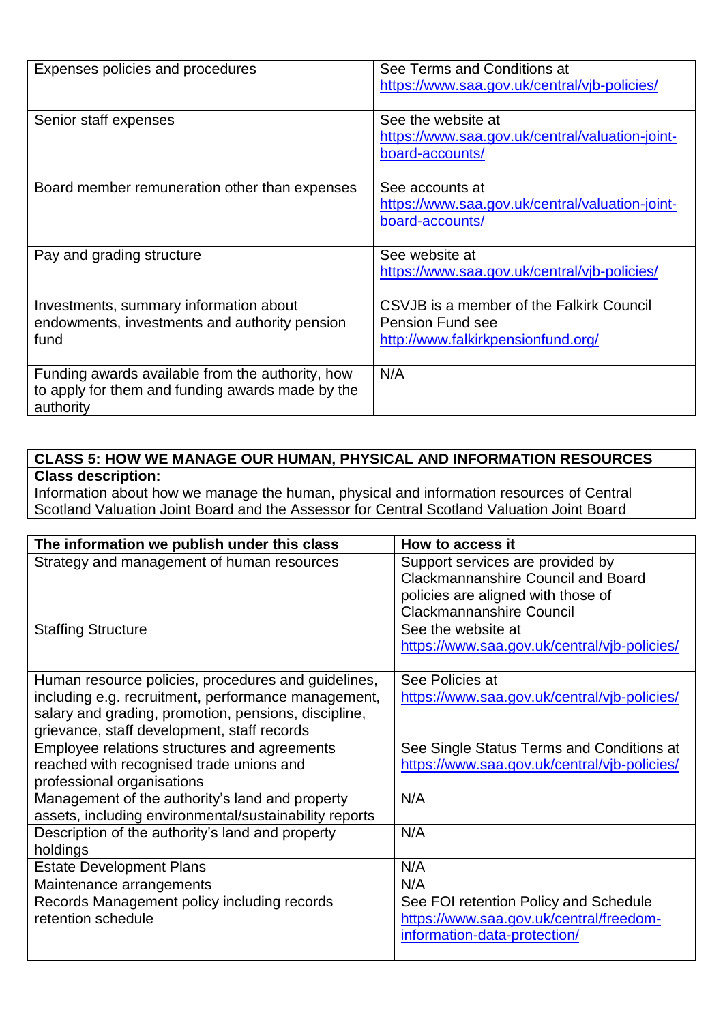| Expenses policies and procedures                                                                                  | See Terms and Conditions at<br>https://www.saa.gov.uk/central/vjb-policies/                               |
|-------------------------------------------------------------------------------------------------------------------|-----------------------------------------------------------------------------------------------------------|
| Senior staff expenses                                                                                             | See the website at<br>https://www.saa.gov.uk/central/valuation-joint-<br>board-accounts/                  |
| Board member remuneration other than expenses                                                                     | See accounts at<br>https://www.saa.gov.uk/central/valuation-joint-<br>board-accounts/                     |
| Pay and grading structure                                                                                         | See website at<br>https://www.saa.gov.uk/central/vjb-policies/                                            |
| Investments, summary information about<br>endowments, investments and authority pension<br>fund                   | CSVJB is a member of the Falkirk Council<br><b>Pension Fund see</b><br>http://www.falkirkpensionfund.org/ |
| Funding awards available from the authority, how<br>to apply for them and funding awards made by the<br>authority | N/A                                                                                                       |

### **CLASS 5: HOW WE MANAGE OUR HUMAN, PHYSICAL AND INFORMATION RESOURCES Class description:**

Information about how we manage the human, physical and information resources of Central Scotland Valuation Joint Board and the Assessor for Central Scotland Valuation Joint Board

| The information we publish under this class            | How to access it                             |
|--------------------------------------------------------|----------------------------------------------|
| Strategy and management of human resources             | Support services are provided by             |
|                                                        | <b>Clackmannanshire Council and Board</b>    |
|                                                        | policies are aligned with those of           |
|                                                        | <b>Clackmannanshire Council</b>              |
| <b>Staffing Structure</b>                              | See the website at                           |
|                                                        | https://www.saa.gov.uk/central/vjb-policies/ |
|                                                        |                                              |
| Human resource policies, procedures and guidelines,    | See Policies at                              |
| including e.g. recruitment, performance management,    | https://www.saa.gov.uk/central/vjb-policies/ |
| salary and grading, promotion, pensions, discipline,   |                                              |
| grievance, staff development, staff records            |                                              |
| Employee relations structures and agreements           | See Single Status Terms and Conditions at    |
| reached with recognised trade unions and               | https://www.saa.gov.uk/central/vjb-policies/ |
| professional organisations                             |                                              |
| Management of the authority's land and property        | N/A                                          |
| assets, including environmental/sustainability reports |                                              |
| Description of the authority's land and property       | N/A                                          |
| holdings                                               |                                              |
| <b>Estate Development Plans</b>                        | N/A                                          |
| Maintenance arrangements                               | N/A                                          |
| Records Management policy including records            | See FOI retention Policy and Schedule        |
| retention schedule                                     | https://www.saa.gov.uk/central/freedom-      |
|                                                        | information-data-protection/                 |
|                                                        |                                              |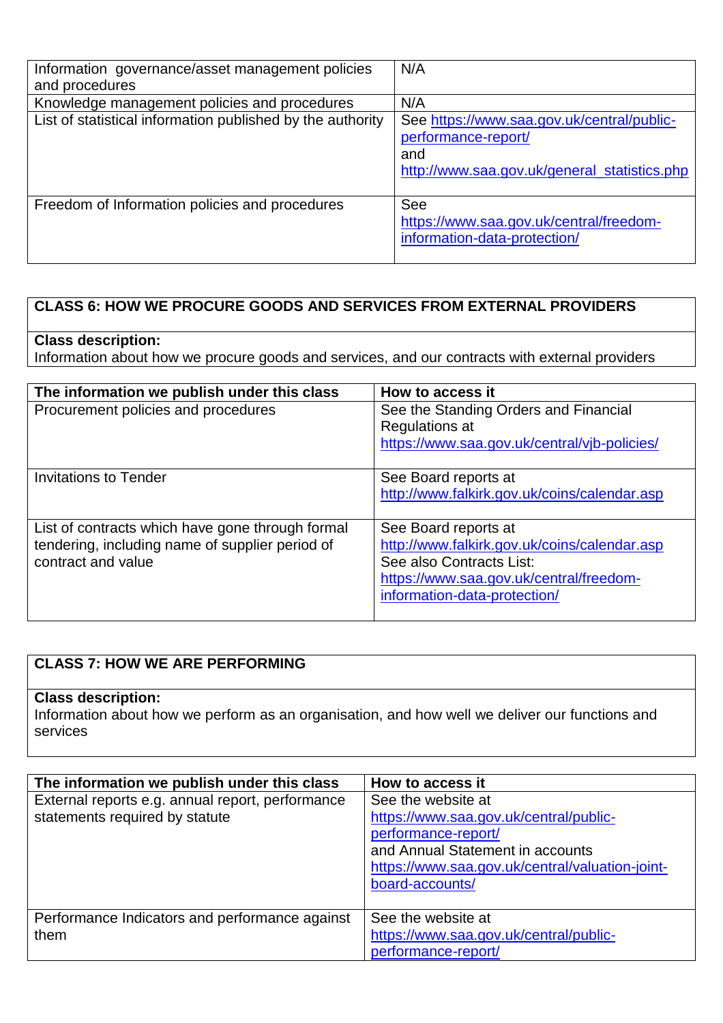| Information governance/asset management policies<br>and procedures | N/A                                                                                                                      |
|--------------------------------------------------------------------|--------------------------------------------------------------------------------------------------------------------------|
| Knowledge management policies and procedures                       | N/A                                                                                                                      |
| List of statistical information published by the authority         | See https://www.saa.gov.uk/central/public-<br>performance-report/<br>and<br>http://www.saa.gov.uk/general_statistics.php |
| Freedom of Information policies and procedures                     | See<br>https://www.saa.gov.uk/central/freedom-<br>information-data-protection/                                           |

### **CLASS 6: HOW WE PROCURE GOODS AND SERVICES FROM EXTERNAL PROVIDERS**

### **Class description:**

Information about how we procure goods and services, and our contracts with external providers

| The information we publish under this class      | How to access it                             |
|--------------------------------------------------|----------------------------------------------|
| Procurement policies and procedures              | See the Standing Orders and Financial        |
|                                                  | Regulations at                               |
|                                                  | https://www.saa.gov.uk/central/vjb-policies/ |
|                                                  |                                              |
| Invitations to Tender                            | See Board reports at                         |
|                                                  | http://www.falkirk.gov.uk/coins/calendar.asp |
|                                                  |                                              |
| List of contracts which have gone through formal | See Board reports at                         |
| tendering, including name of supplier period of  | http://www.falkirk.gov.uk/coins/calendar.asp |
| contract and value                               | See also Contracts List:                     |
|                                                  | https://www.saa.gov.uk/central/freedom-      |
|                                                  | information-data-protection/                 |
|                                                  |                                              |

# **CLASS 7: HOW WE ARE PERFORMING**

### **Class description:**

Information about how we perform as an organisation, and how well we deliver our functions and services

| The information we publish under this class      | How to access it                                |
|--------------------------------------------------|-------------------------------------------------|
| External reports e.g. annual report, performance | See the website at                              |
| statements required by statute                   | https://www.saa.gov.uk/central/public-          |
|                                                  | performance-report/                             |
|                                                  | and Annual Statement in accounts                |
|                                                  | https://www.saa.gov.uk/central/valuation-joint- |
|                                                  | board-accounts/                                 |
|                                                  |                                                 |
| Performance Indicators and performance against   | See the website at                              |
| them                                             | https://www.saa.gov.uk/central/public-          |
|                                                  | performance-report/                             |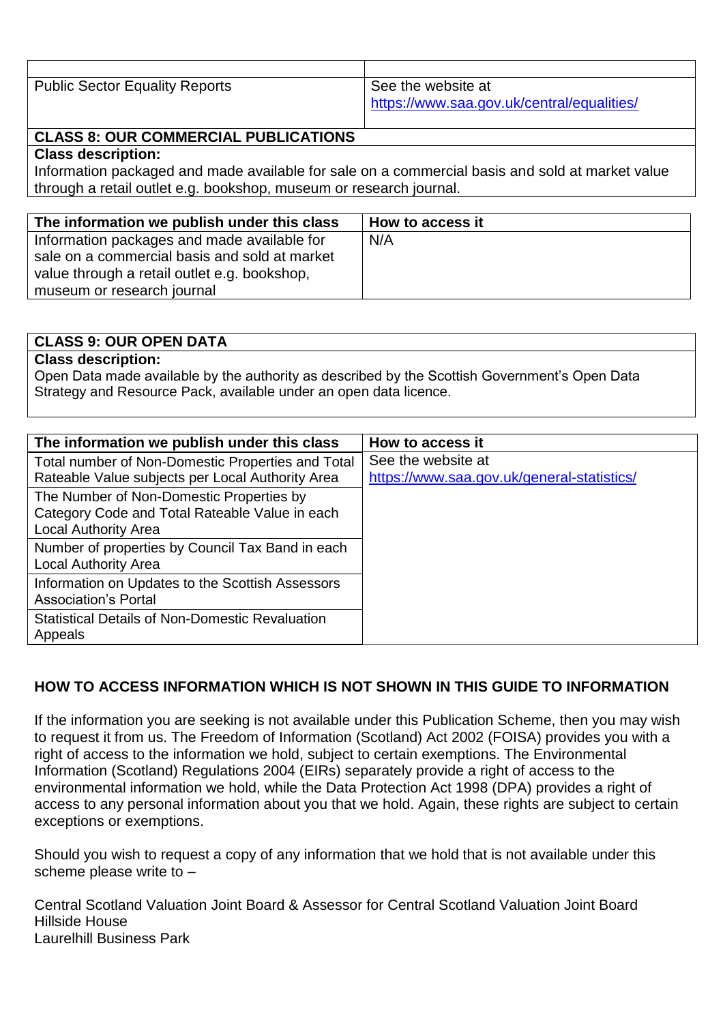| <b>Public Sector Equality Reports</b> | See the website at                         |
|---------------------------------------|--------------------------------------------|
|                                       | https://www.saa.gov.uk/central/equalities/ |

### **CLASS 8: OUR COMMERCIAL PUBLICATIONS**

#### **Class description:**

Information packaged and made available for sale on a commercial basis and sold at market value through a retail outlet e.g. bookshop, museum or research journal.

| The information we publish under this class   | How to access it |
|-----------------------------------------------|------------------|
| Information packages and made available for   | N/A              |
| sale on a commercial basis and sold at market |                  |
| value through a retail outlet e.g. bookshop,  |                  |
| museum or research journal                    |                  |

| <b>CLASS 9: OUR OPEN DATA</b>                                                                 |
|-----------------------------------------------------------------------------------------------|
| <b>Class description:</b>                                                                     |
| Open Data made available by the authority as described by the Scottish Government's Open Data |
| Strategy and Resource Pack, available under an open data licence.                             |
|                                                                                               |

| The information we publish under this class            | How to access it                           |
|--------------------------------------------------------|--------------------------------------------|
| Total number of Non-Domestic Properties and Total      | See the website at                         |
| Rateable Value subjects per Local Authority Area       | https://www.saa.gov.uk/general-statistics/ |
| The Number of Non-Domestic Properties by               |                                            |
| Category Code and Total Rateable Value in each         |                                            |
| <b>Local Authority Area</b>                            |                                            |
| Number of properties by Council Tax Band in each       |                                            |
| <b>Local Authority Area</b>                            |                                            |
| Information on Updates to the Scottish Assessors       |                                            |
| <b>Association's Portal</b>                            |                                            |
| <b>Statistical Details of Non-Domestic Revaluation</b> |                                            |
| Appeals                                                |                                            |

## **HOW TO ACCESS INFORMATION WHICH IS NOT SHOWN IN THIS GUIDE TO INFORMATION**

If the information you are seeking is not available under this Publication Scheme, then you may wish to request it from us. The Freedom of Information (Scotland) Act 2002 (FOISA) provides you with a right of access to the information we hold, subject to certain exemptions. The Environmental Information (Scotland) Regulations 2004 (EIRs) separately provide a right of access to the environmental information we hold, while the Data Protection Act 1998 (DPA) provides a right of access to any personal information about you that we hold. Again, these rights are subject to certain exceptions or exemptions.

Should you wish to request a copy of any information that we hold that is not available under this scheme please write to –

Central Scotland Valuation Joint Board & Assessor for Central Scotland Valuation Joint Board Hillside House Laurelhill Business Park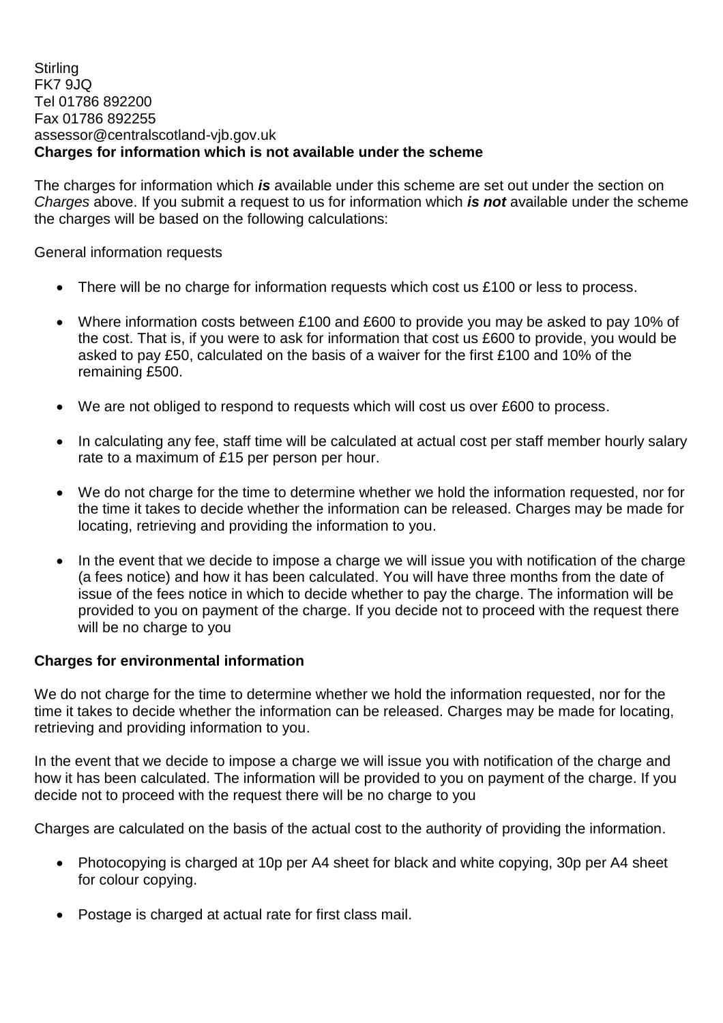#### **Stirling** FK7 9JQ Tel 01786 892200 Fax 01786 892255 assessor@centralscotland-vjb.gov.uk **Charges for information which is not available under the scheme**

The charges for information which *is* available under this scheme are set out under the section on *Charges* above. If you submit a request to us for information which *is not* available under the scheme the charges will be based on the following calculations:

General information requests

- There will be no charge for information requests which cost us £100 or less to process.
- Where information costs between £100 and £600 to provide you may be asked to pay 10% of the cost. That is, if you were to ask for information that cost us £600 to provide, you would be asked to pay £50, calculated on the basis of a waiver for the first £100 and 10% of the remaining £500.
- We are not obliged to respond to requests which will cost us over £600 to process.
- In calculating any fee, staff time will be calculated at actual cost per staff member hourly salary rate to a maximum of £15 per person per hour.
- We do not charge for the time to determine whether we hold the information requested, nor for the time it takes to decide whether the information can be released. Charges may be made for locating, retrieving and providing the information to you.
- In the event that we decide to impose a charge we will issue you with notification of the charge (a fees notice) and how it has been calculated. You will have three months from the date of issue of the fees notice in which to decide whether to pay the charge. The information will be provided to you on payment of the charge. If you decide not to proceed with the request there will be no charge to you

### **Charges for environmental information**

We do not charge for the time to determine whether we hold the information requested, nor for the time it takes to decide whether the information can be released. Charges may be made for locating, retrieving and providing information to you.

In the event that we decide to impose a charge we will issue you with notification of the charge and how it has been calculated. The information will be provided to you on payment of the charge. If you decide not to proceed with the request there will be no charge to you

Charges are calculated on the basis of the actual cost to the authority of providing the information.

- Photocopying is charged at 10p per A4 sheet for black and white copying, 30p per A4 sheet for colour copying.
- Postage is charged at actual rate for first class mail.